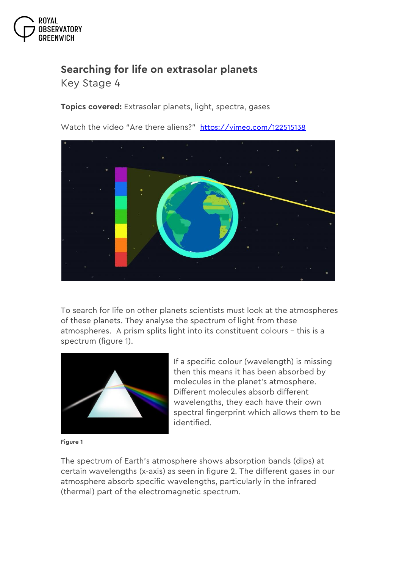

## **Searching for life on extrasolar planets**

*Key Stage 4*

**Topics covered:** Extrasolar planets, light, spectra, gases

Watch the video "Are there aliens?" <https://vimeo.com/122515138>



To search for life on other planets scientists must look at the atmospheres of these planets. They analyse the spectrum of light from these atmospheres. A prism splits light into its constituent colours – this is a spectrum (figure 1).



If a specific colour (wavelength) is missing then this means it has been absorbed by molecules in the planet's atmosphere. Different molecules absorb different wavelengths, they each have their own spectral fingerprint which allows them to be identified.

**Figure 1**

The spectrum of Earth's atmosphere shows absorption bands (dips) at certain wavelengths (x-axis) as seen in figure 2. The different gases in our atmosphere absorb specific wavelengths, particularly in the infrared (thermal) part of the electromagnetic spectrum.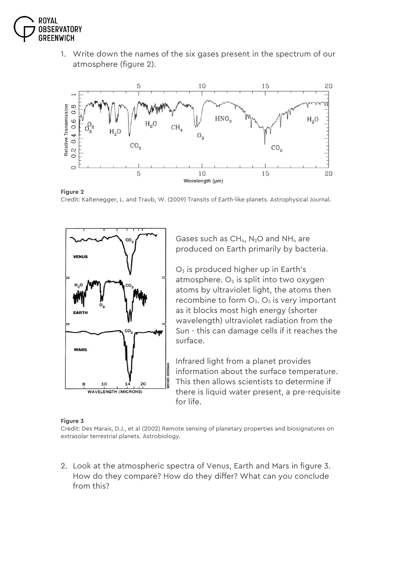

1. Write down the names of the six gases present in the spectrum of our atmosphere (figure 2).



**Figure 2**

Credit: Kaltenegger, L. and Traub, W. (2009) Transits of Earth-like planets. Astrophysical Journal.



Gases such as  $CH_{4}$ , N<sub>2</sub>O and NH<sub>4</sub> are produced on Earth primarily by bacteria.

 $O<sub>3</sub>$  is produced higher up in Earth's atmosphere.  $O<sub>2</sub>$  is split into two oxygen atoms by ultraviolet light, the atoms then recombine to form  $O_3$ .  $O_3$  is very important as it blocks most high energy (shorter wavelength) ultraviolet radiation from the Sun - this can damage cells if it reaches the surface.

Infrared light from a planet provides information about the surface temperature. This then allows scientists to determine if there is liquid water present, a pre-requisite for life.

## **Figure 3**

Credit: Des Marais, D.J., et al (2002) Remote sensing of planetary properties and biosignatures on extrasolar terrestrial planets. Astrobiology.

2. Look at the atmospheric spectra of Venus, Earth and Mars in figure 3. How do they compare? How do they differ? What can you conclude from this?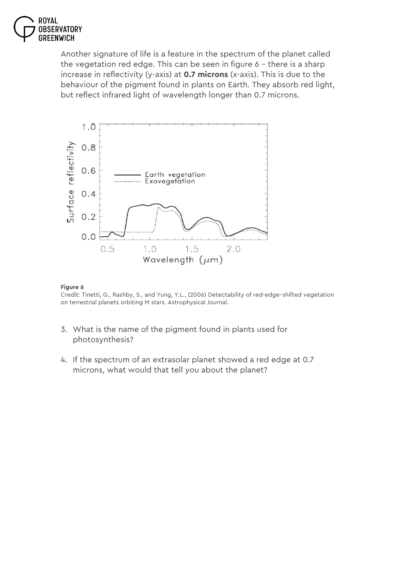

Another signature of life is a feature in the spectrum of the planet called the vegetation red edge. This can be seen in figure 6 – there is a sharp increase in reflectivity (y-axis) at **0.7 microns** (x-axis). This is due to the behaviour of the pigment found in plants on Earth. They absorb red light, but reflect infrared light of wavelength longer than 0.7 microns.



## **Figure 6**

Credit: Tinetti, G., Rashby, S., and Yung, Y.L., (2006) Detectability of red-edge–shifted vegetation on terrestrial planets orbiting M stars. Astrophysical Journal.

- 3. What is the name of the pigment found in plants used for photosynthesis?
- 4. If the spectrum of an extrasolar planet showed a red edge at 0.7 microns, what would that tell you about the planet?